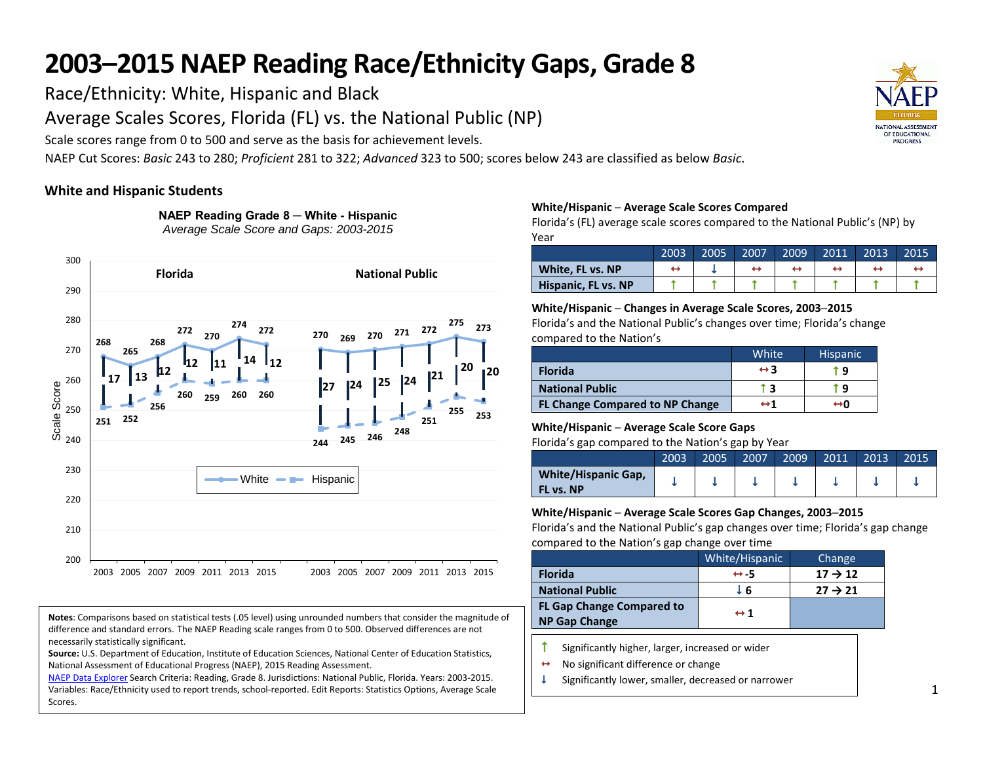Race/Ethnicity: White, Hispanic and Black

Average Scales Scores, Florida (FL) vs. the National Public (NP)

Scale scores range from 0 to 500 and serve as the basis for achievement levels.

NAEP Cut Scores: *Basic* 243 to 280; *Proficient* 281 to 322; *Advanced* 323 to 500; scores below 243 are classified as below *Basic*.

## **White and Hispanic Students**



**NAEP Reading Grade 8 ─ White - Hispanic** *Average Scale Score and Gaps: 2003-2015*

#### **Notes**: Comparisons based on statistical tests (.05 level) using unrounded numbers that consider the magnitude of difference and standard errors. The NAEP Reading scale ranges from 0 to 500. Observed differences are not necessarily statistically significant.

**Source:** U.S. Department of Education, Institute of Education Sciences, National Center of Education Statistics, National Assessment of Educational Progress (NAEP), 2015 Reading Assessment.

[NAEP Data Explorer](http://nces.ed.gov/nationsreportcard/naepdata/) Search Criteria: Reading, Grade 8. Jurisdictions: National Public, Florida. Years: 2003-2015. Variables: Race/Ethnicity used to report trends, school-reported. Edit Reports: Statistics Options, Average Scale Scores.

### **White/Hispanic ─ Average Scale Scores Compared**

Florida's (FL) average scale scores compared to the National Public's (NP) by Year

|                     | 2003 | 2005 | 2007 | 2009 | 2011 | 2013 | 2015 |
|---------------------|------|------|------|------|------|------|------|
| White, FL vs. NP    |      |      |      |      |      |      |      |
| Hispanic, FL vs. NP |      |      |      |      |      |      |      |

### **White/Hispanic ─ Changes in Average Scale Scores, 2003─2015**

Florida's and the National Public's changes over time; Florida's change compared to the Nation's

|                                        | <b>White</b>        | <b>Hispanic</b> |
|----------------------------------------|---------------------|-----------------|
| <b>Florida</b>                         | $\leftrightarrow$ 3 | r q             |
| <b>National Public</b>                 |                     | ٩               |
| <b>FL Change Compared to NP Change</b> | ↔1                  | ↔o              |

### **White/Hispanic ─ Average Scale Score Gaps**

Florida's gap compared to the Nation's gap by Year

|                                                | 2003 | 2005 | 2007 | 2009 | 2011 | 2013 | 2015 |
|------------------------------------------------|------|------|------|------|------|------|------|
| <b>White/Hispanic Gap,</b><br><b>FL vs. NP</b> |      |      |      |      |      |      |      |

### **White/Hispanic ─ Average Scale Scores Gap Changes, 2003─2015**

Florida's and the National Public's gap changes over time; Florida's gap change compared to the Nation's gap change over time

|                                                          | White/Hispanic      | Change              |
|----------------------------------------------------------|---------------------|---------------------|
| <b>Florida</b>                                           | $leftrightarrow -5$ | $17 \rightarrow 12$ |
| <b>National Public</b>                                   | J 6                 | $27 \rightarrow 21$ |
| <b>FL Gap Change Compared to</b><br><b>NP Gap Change</b> | leftrightarrow 1    |                     |

- $\uparrow$  Significantly higher, larger, increased or wider
- $\leftrightarrow$  No significant difference or change
- $\downarrow$  Significantly lower, smaller, decreased or narrower

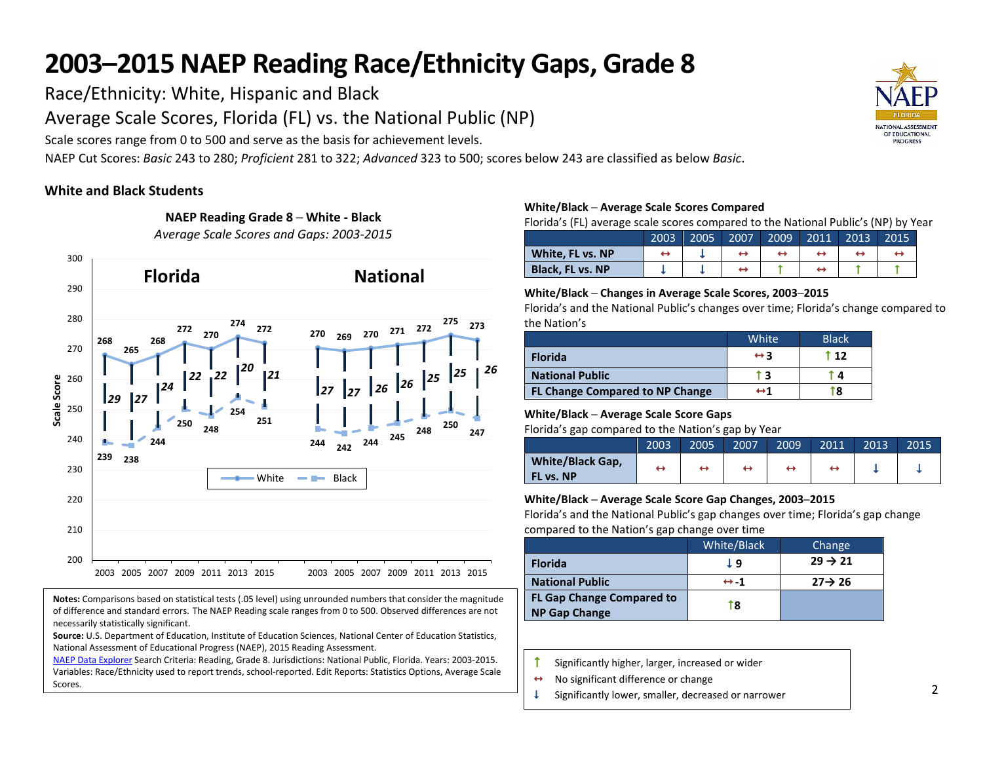Race/Ethnicity: White, Hispanic and Black

Average Scale Scores, Florida (FL) vs. the National Public (NP)

Scale scores range from 0 to 500 and serve as the basis for achievement levels.

**NAEP Reading Grade 8 ─ White - Black**

NAEP Cut Scores: *Basic* 243 to 280; *Proficient* 281 to 322; *Advanced* 323 to 500; scores below 243 are classified as below *Basic*.

# **White and Black Students**



**Notes:** Comparisons based on statistical tests (.05 level) using unrounded numbers that consider the magnitude of difference and standard errors. The NAEP Reading scale ranges from 0 to 500. Observed differences are not necessarily statistically significant.

**Source:** U.S. Department of Education, Institute of Education Sciences, National Center of Education Statistics, National Assessment of Educational Progress (NAEP), 2015 Reading Assessment.

[NAEP Data Explorer](http://nces.ed.gov/nationsreportcard/naepdata/) Search Criteria: Reading, Grade 8. Jurisdictions: National Public, Florida. Years: 2003-2015. Variables: Race/Ethnicity used to report trends, school-reported. Edit Reports: Statistics Options, Average Scale Scores.

### **White/Black ─ Average Scale Scores Compared**

Florida's (FL) average scale scores compared to the National Public's (NP) by Year

|                         | 2003 | 2005 | 2007 | 2009 | 2011 | 2013 | 2015 |
|-------------------------|------|------|------|------|------|------|------|
| White, FL vs. NP        |      |      |      |      |      |      |      |
| <b>Black. FL vs. NP</b> |      |      |      |      |      |      |      |

### **White/Black ─ Changes in Average Scale Scores, 2003─2015**

Florida's and the National Public's changes over time; Florida's change compared to the Nation's

|                                        | <b>White</b>        | <b>Black</b> |
|----------------------------------------|---------------------|--------------|
| <b>Florida</b>                         | $\leftrightarrow$ 3 | † 12         |
| <b>National Public</b>                 |                     | Д            |
| <b>FL Change Compared to NP Change</b> | ↔ 1                 | 8            |

### **White/Black ─ Average Scale Score Gaps**

Florida's gap compared to the Nation's gap by Year

|                                             | 2003 | 2005 | 2007 | 2009 | 2011 | 2013 | 2015 |
|---------------------------------------------|------|------|------|------|------|------|------|
| <b>White/Black Gap,</b><br><b>FL vs. NP</b> | ↤    |      | ↔    |      |      |      |      |

### **White/Black ─ Average Scale Score Gap Changes, 2003─2015**

Florida's and the National Public's gap changes over time; Florida's gap change compared to the Nation's gap change over time

|                                  | White/Black         | Change              |
|----------------------------------|---------------------|---------------------|
| <b>Florida</b>                   | J 9                 | $29 \rightarrow 21$ |
| <b>National Public</b>           | $leftrightarrow -1$ | $27 \rightarrow 26$ |
| <b>FL Gap Change Compared to</b> | T8                  |                     |
| <b>NP Gap Change</b>             |                     |                     |

- $\uparrow$  Significantly higher, larger, increased or wider
- $\leftrightarrow$  No significant difference or change
- $\downarrow$  Significantly lower, smaller, decreased or narrower

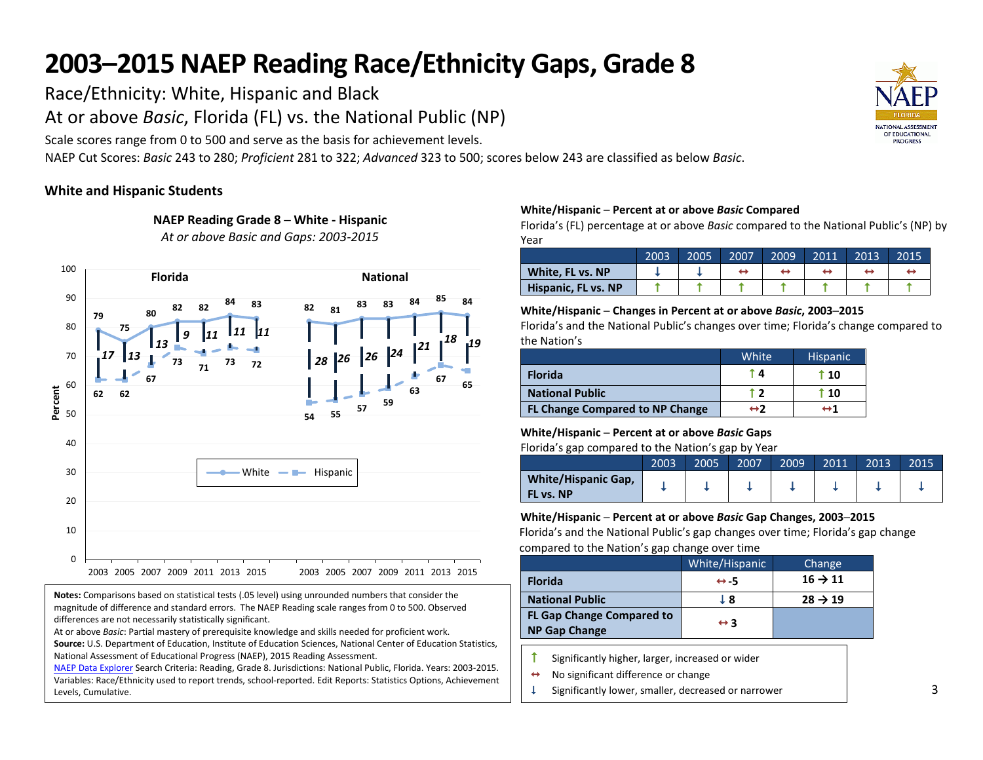Race/Ethnicity: White, Hispanic and Black

At or above *Basic*, Florida (FL) vs. the National Public (NP)

Scale scores range from 0 to 500 and serve as the basis for achievement levels.

**NAEP Reading Grade 8 ─ White - Hispanic** *At or above Basic and Gaps: 2003-2015*

NAEP Cut Scores: *Basic* 243 to 280; *Proficient* 281 to 322; *Advanced* 323 to 500; scores below 243 are classified as below *Basic*.

# **White and Hispanic Students**



**Notes:** Comparisons based on statistical tests (.05 level) using unrounded numbers that consider the magnitude of difference and standard errors. The NAEP Reading scale ranges from 0 to 500. Observed differences are not necessarily statistically significant.

At or above *Basic*: Partial mastery of prerequisite knowledge and skills needed for proficient work.

**Source:** U.S. Department of Education, Institute of Education Sciences, National Center of Education Statistics, National Assessment of Educational Progress (NAEP), 2015 Reading Assessment.

[NAEP Data Explorer](http://nces.ed.gov/nationsreportcard/naepdata/) Search Criteria: Reading, Grade 8. Jurisdictions: National Public, Florida. Years: 2003-2015. Variables: Race/Ethnicity used to report trends, school-reported. Edit Reports: Statistics Options, Achievement Levels, Cumulative.

### **White/Hispanic ─ Percent at or above** *Basic* **Compared**

Florida's (FL) percentage at or above *Basic* compared to the National Public's (NP) by Year

|                     | 2003 | 2005 | 2007 | 2009 | 2011 | 2013 | 2015 |
|---------------------|------|------|------|------|------|------|------|
| White, FL vs. NP    |      |      |      |      |      |      |      |
| Hispanic, FL vs. NP |      |      |      |      |      |      |      |

#### **White/Hispanic ─ Changes in Percent at or above** *Basic***, 2003─2015**

Florida's and the National Public's changes over time; Florida's change compared to the Nation's

|                                        | White             | <b>Hispanic</b>     |
|----------------------------------------|-------------------|---------------------|
| <b>Florida</b>                         | TД                | t 10                |
| <b>National Public</b>                 |                   | $\overline{10}$     |
| <b>FL Change Compared to NP Change</b> | $\leftrightarrow$ | $\leftrightarrow$ 1 |

### **White/Hispanic ─ Percent at or above** *Basic* **Gaps**

Florida's gap compared to the Nation's gap by Year

|                                         | 2003 | 2005 | 2007 | 2009 | 2011 | 2013 | 2015 |
|-----------------------------------------|------|------|------|------|------|------|------|
| <b>White/Hispanic Gap,</b><br>FL vs. NP |      |      |      |      |      |      |      |

### **White/Hispanic ─ Percent at or above** *Basic* **Gap Changes, 2003─2015**

Florida's and the National Public's gap changes over time; Florida's gap change compared to the Nation's gap change over time

|                                                          | White/Hispanic      | Change              |
|----------------------------------------------------------|---------------------|---------------------|
| <b>Florida</b>                                           | $leftrightarrow$ 5  | $16 \rightarrow 11$ |
| <b>National Public</b>                                   | L 8                 | $28 \rightarrow 19$ |
| <b>FL Gap Change Compared to</b><br><b>NP Gap Change</b> | $\leftrightarrow$ 3 |                     |

 $\uparrow$  Significantly higher, larger, increased or wider

- $\leftrightarrow$  No significant difference or change
- $\downarrow$  Significantly lower, smaller, decreased or narrower

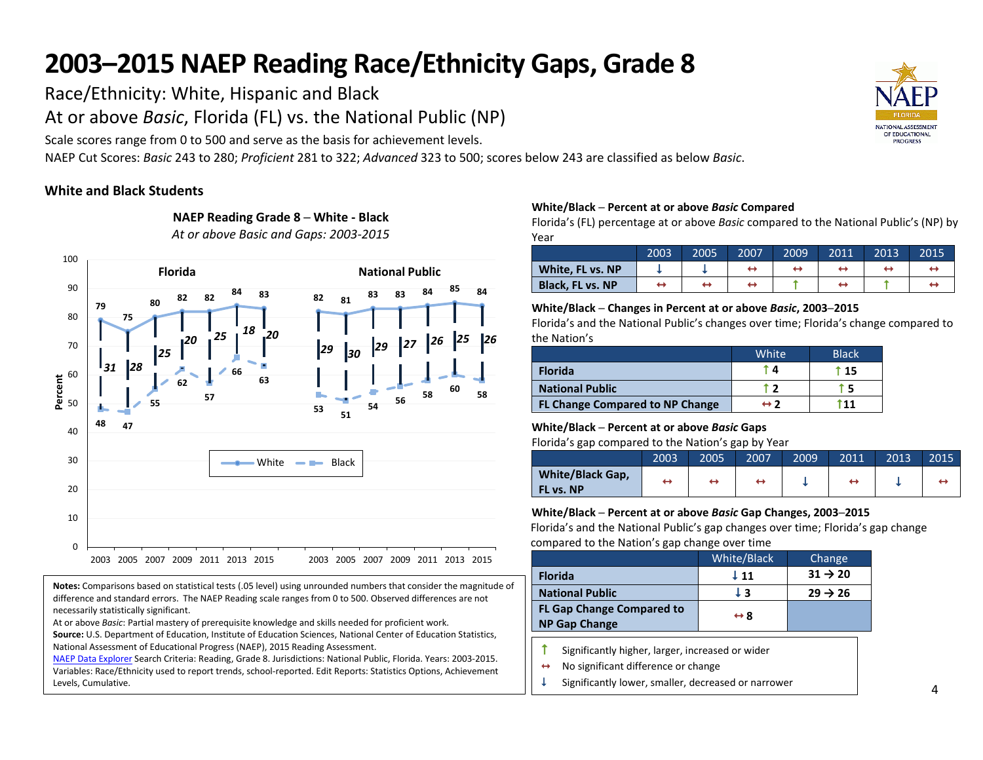Race/Ethnicity: White, Hispanic and Black

At or above *Basic*, Florida (FL) vs. the National Public (NP)

**NAEP Reading Grade 8 ─ White - Black** *At or above Basic and Gaps: 2003-2015*

Scale scores range from 0 to 500 and serve as the basis for achievement levels.

NAEP Cut Scores: *Basic* 243 to 280; *Proficient* 281 to 322; *Advanced* 323 to 500; scores below 243 are classified as below *Basic*.

# **White and Black Students**



**Notes:** Comparisons based on statistical tests (.05 level) using unrounded numbers that consider the magnitude of difference and standard errors. The NAEP Reading scale ranges from 0 to 500. Observed differences are not necessarily statistically significant.

At or above *Basic*: Partial mastery of prerequisite knowledge and skills needed for proficient work.

**Source:** U.S. Department of Education, Institute of Education Sciences, National Center of Education Statistics, National Assessment of Educational Progress (NAEP), 2015 Reading Assessment.

[NAEP Data Explorer](http://nces.ed.gov/nationsreportcard/naepdata/) Search Criteria: Reading, Grade 8. Jurisdictions: National Public, Florida. Years: 2003-2015. Variables: Race/Ethnicity used to report trends, school-reported. Edit Reports: Statistics Options, Achievement Levels, Cumulative.

### **White/Black ─ Percent at or above** *Basic* **Compared**

Florida's (FL) percentage at or above *Basic* compared to the National Public's (NP) by Year

|                         | 2003 | 2005 | 2007 | 2009 | 2011 | 2013 | 2015 |
|-------------------------|------|------|------|------|------|------|------|
| White, FL vs. NP        |      |      |      | ↔    |      |      |      |
| <b>Black. FL vs. NP</b> | ÷    |      |      |      |      |      |      |

### **White/Black ─ Changes in Percent at or above** *Basic***, 2003─2015**

Florida's and the National Public's changes over time; Florida's change compared to the Nation's

|                                 | White <sup>1</sup> | <b>Black</b> |
|---------------------------------|--------------------|--------------|
| <b>Florida</b>                  |                    | T 15         |
| <b>National Public</b>          |                    |              |
| FL Change Compared to NP Change | ↔ フ                |              |

### **White/Black ─ Percent at or above** *Basic* **Gaps**

Florida's gap compared to the Nation's gap by Year

|                                      | 2003 | 2005 | 2007 | 2009 | 2011 | 2013 | 2015 |
|--------------------------------------|------|------|------|------|------|------|------|
| <b>White/Black Gap,</b><br>FL vs. NP | ↔    |      |      |      |      |      |      |

### **White/Black ─ Percent at or above** *Basic* **Gap Changes, 2003─2015**

Florida's and the National Public's gap changes over time; Florida's gap change compared to the Nation's gap change over time

|                                                          | White/Black         | Change              |
|----------------------------------------------------------|---------------------|---------------------|
| <b>Florida</b>                                           | $\perp$ 11          | $31 \rightarrow 20$ |
| <b>National Public</b>                                   | LЗ                  | $29 \rightarrow 26$ |
| <b>FL Gap Change Compared to</b><br><b>NP Gap Change</b> | $\leftrightarrow$ 8 |                     |
|                                                          |                     |                     |

- Significantly higher, larger, increased or wider
- $\leftrightarrow$  No significant difference or change
- $\downarrow$  Significantly lower, smaller, decreased or narrower

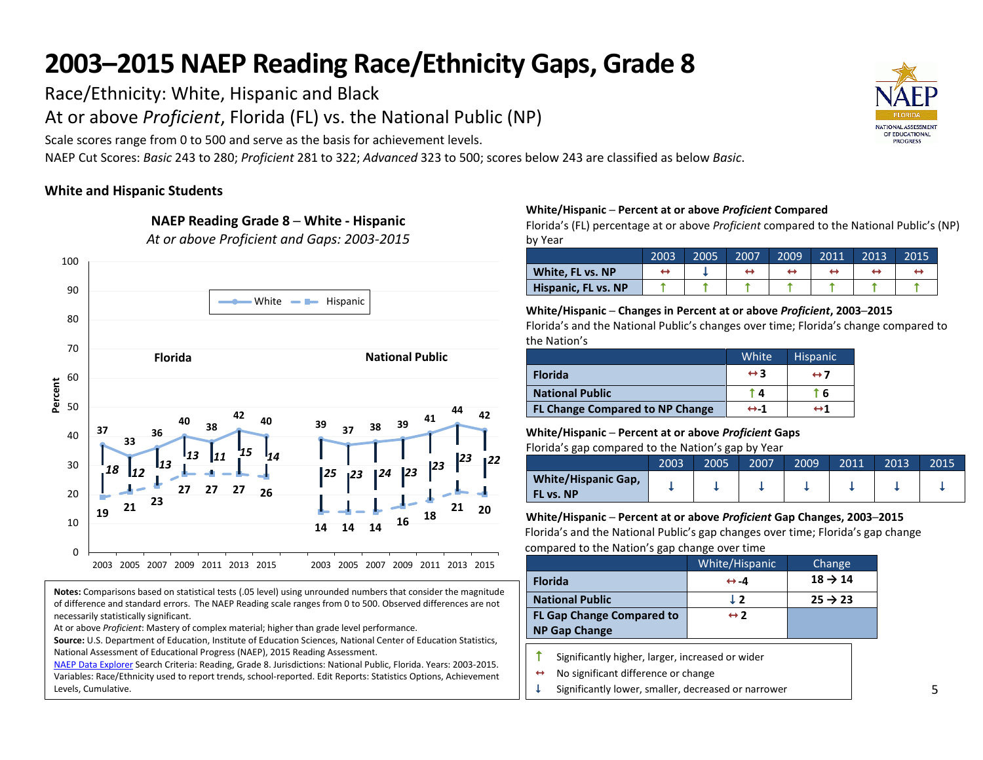Race/Ethnicity: White, Hispanic and Black

At or above *Proficient*, Florida (FL) vs. the National Public (NP)

Scale scores range from 0 to 500 and serve as the basis for achievement levels.

NAEP Cut Scores: *Basic* 243 to 280; *Proficient* 281 to 322; *Advanced* 323 to 500; scores below 243 are classified as below *Basic*.

# **White and Hispanic Students**



**Notes:** Comparisons based on statistical tests (.05 level) using unrounded numbers that consider the magnitude of difference and standard errors. The NAEP Reading scale ranges from 0 to 500. Observed differences are not necessarily statistically significant.

At or above *Proficient*: Mastery of complex material; higher than grade level performance.

**Source:** U.S. Department of Education, Institute of Education Sciences, National Center of Education Statistics, National Assessment of Educational Progress (NAEP), 2015 Reading Assessment.

[NAEP Data Explorer](http://nces.ed.gov/nationsreportcard/naepdata/) Search Criteria: Reading, Grade 8. Jurisdictions: National Public, Florida. Years: 2003-2015. Variables: Race/Ethnicity used to report trends, school-reported. Edit Reports: Statistics Options, Achievement Levels, Cumulative.

### **White/Hispanic ─ Percent at or above** *Proficient* **Compared**

Florida's (FL) percentage at or above *Proficient* compared to the National Public's (NP) by Year

|                     | 2003 | 2005 | 2007 | 2009 | 2011 | 2013 | 2015 |
|---------------------|------|------|------|------|------|------|------|
| White, FL vs. NP    |      |      |      |      |      |      |      |
| Hispanic, FL vs. NP |      |      |      |      |      |      |      |

#### **White/Hispanic ─ Changes in Percent at or above** *Proficient***, 2003─2015**

Florida's and the National Public's changes over time; Florida's change compared to the Nation's

|                                        | White               | <b>Hispanic</b>     |
|----------------------------------------|---------------------|---------------------|
| <b>Florida</b>                         | $\leftrightarrow$ 3 | $\leftrightarrow$ 7 |
| <b>National Public</b>                 | T 41.               | 6                   |
| <b>FL Change Compared to NP Change</b> | $leftrightarrow -1$ | ↔ 1                 |

## **White/Hispanic ─ Percent at or above** *Proficient* **Gaps**

Florida's gap compared to the Nation's gap by Year

|                                         | 2003 | 2005 | 2007 | 2009 | 2011 | 2013 | 2015 |
|-----------------------------------------|------|------|------|------|------|------|------|
| <b>White/Hispanic Gap,</b><br>FL vs. NP |      |      |      |      |      |      |      |

**White/Hispanic ─ Percent at or above** *Proficient* **Gap Changes, 2003─2015** Florida's and the National Public's gap changes over time; Florida's gap change compared to the Nation's gap change over time

|                                  | White/Hispanic       | Change              |
|----------------------------------|----------------------|---------------------|
| <b>Florida</b>                   | $\leftrightarrow -4$ | $18 \rightarrow 14$ |
| <b>National Public</b>           | $\perp$ 2            | $25 \rightarrow 23$ |
| <b>FL Gap Change Compared to</b> | $leftrightarrow$ 2   |                     |
| <b>NP Gap Change</b>             |                      |                     |

Significantly higher, larger, increased or wider

 $\leftrightarrow$  No significant difference or change

Significantly lower, smaller, decreased or narrower